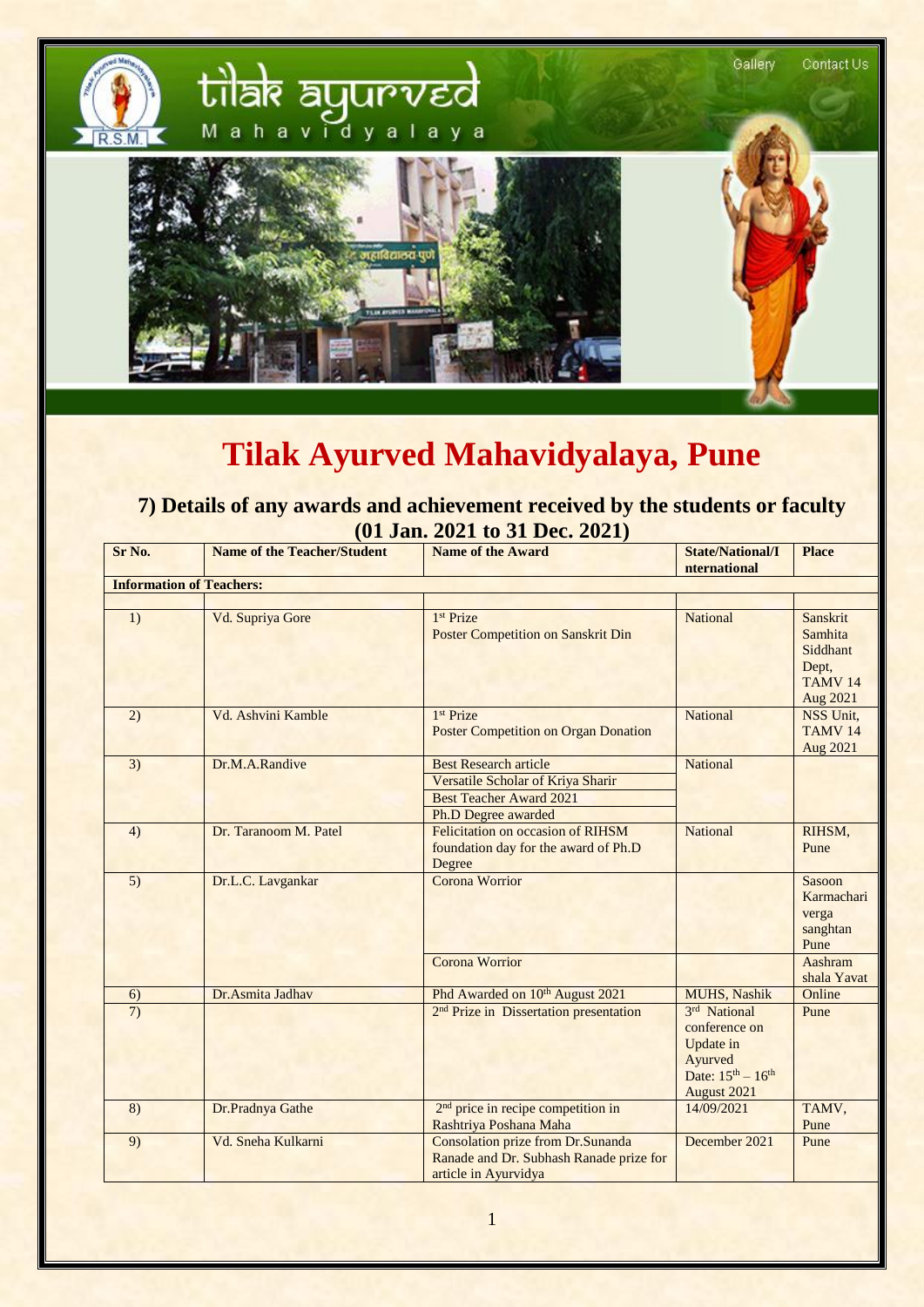

## **Tilak Ayurved Mahavidyalaya, Pune**

**7) Details of any awards and achievement received by the students or faculty (01 Jan. 2021 to 31 Dec. 2021)**

| Sr No.                          | <b>Name of the Teacher/Student</b> | <b>Name of the Award</b>                                                                             | <b>State/National/I</b><br>nternational                                                           | <b>Place</b>                                                           |  |
|---------------------------------|------------------------------------|------------------------------------------------------------------------------------------------------|---------------------------------------------------------------------------------------------------|------------------------------------------------------------------------|--|
| <b>Information of Teachers:</b> |                                    |                                                                                                      |                                                                                                   |                                                                        |  |
|                                 |                                    |                                                                                                      |                                                                                                   |                                                                        |  |
| $\overline{1}$                  | Vd. Supriya Gore                   | 1 <sup>st</sup> Prize<br><b>Poster Competition on Sanskrit Din</b>                                   | National                                                                                          | Sanskrit<br>Samhita<br>Siddhant<br>Dept,<br><b>TAMV 14</b><br>Aug 2021 |  |
| (2)                             | Vd. Ashvini Kamble                 | 1 <sup>st</sup> Prize<br><b>Poster Competition on Organ Donation</b>                                 | <b>National</b>                                                                                   | NSS Unit,<br>TAMV <sub>14</sub><br>Aug 2021                            |  |
| 3)                              | Dr.M.A.Randive                     | <b>Best Research article</b>                                                                         | <b>National</b>                                                                                   |                                                                        |  |
|                                 |                                    | Versatile Scholar of Kriya Sharir                                                                    |                                                                                                   |                                                                        |  |
|                                 |                                    | <b>Best Teacher Award 2021</b>                                                                       |                                                                                                   |                                                                        |  |
|                                 |                                    | Ph.D Degree awarded                                                                                  |                                                                                                   |                                                                        |  |
| 4)                              | Dr. Taranoom M. Patel              | Felicitation on occasion of RIHSM<br>foundation day for the award of Ph.D<br>Degree                  | <b>National</b>                                                                                   | RIHSM,<br>Pune                                                         |  |
| 5)                              | Dr.L.C. Lavgankar                  | Corona Worrior                                                                                       |                                                                                                   | Sasoon<br>Karmachari<br>verga<br>sanghtan<br>Pune                      |  |
|                                 |                                    | Corona Worrior                                                                                       |                                                                                                   | Aashram<br>shala Yavat                                                 |  |
| 6)                              | Dr.Asmita Jadhav                   | Phd Awarded on 10 <sup>th</sup> August 2021                                                          | <b>MUHS</b> , Nashik                                                                              | Online                                                                 |  |
| 7)                              |                                    | 2 <sup>nd</sup> Prize in Dissertation presentation                                                   | 3rd National<br>conference on<br>Update in<br>Ayurved<br>Date: $15^{th} - 16^{th}$<br>August 2021 | Pune                                                                   |  |
| $\overline{8}$                  | Dr.Pradnya Gathe                   | 2 <sup>nd</sup> price in recipe competition in<br>Rashtriya Poshana Maha                             | 14/09/2021                                                                                        | TAMV,<br>Pune                                                          |  |
| 9)                              | Vd. Sneha Kulkarni                 | Consolation prize from Dr.Sunanda<br>Ranade and Dr. Subhash Ranade prize for<br>article in Ayurvidya | December 2021                                                                                     | Pune                                                                   |  |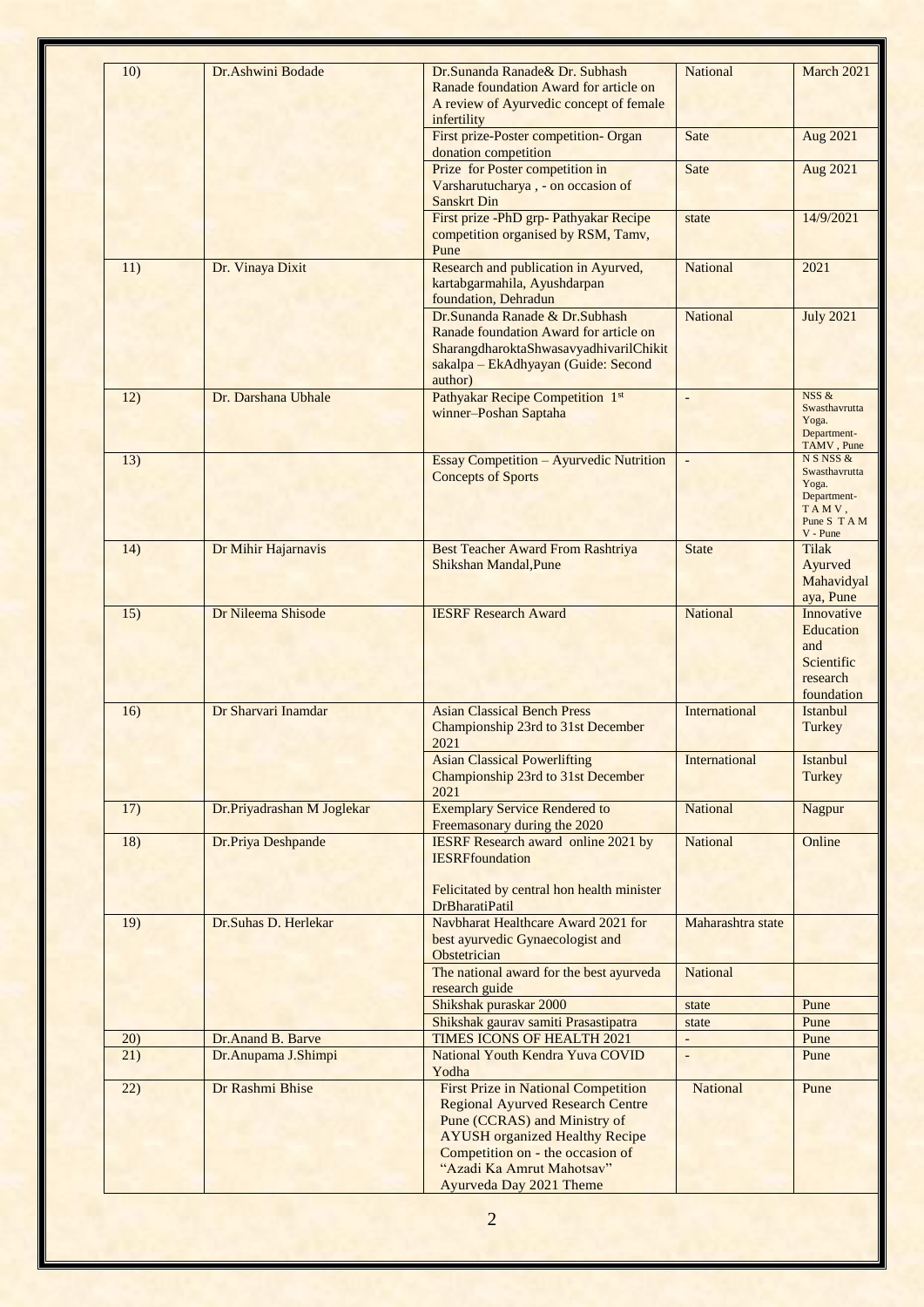| 10)  | Dr.Ashwini Bodade          | Dr.Sunanda Ranade& Dr. Subhash<br>Ranade foundation Award for article on<br>A review of Ayurvedic concept of female<br>infertility                                                                                              | <b>National</b>          | March 2021                                                                                |
|------|----------------------------|---------------------------------------------------------------------------------------------------------------------------------------------------------------------------------------------------------------------------------|--------------------------|-------------------------------------------------------------------------------------------|
|      |                            | First prize-Poster competition- Organ<br>donation competition                                                                                                                                                                   | Sate                     | Aug 2021                                                                                  |
|      |                            | Prize for Poster competition in<br>Varsharutucharya, - on occasion of<br><b>Sanskrt Din</b>                                                                                                                                     | Sate                     | Aug 2021                                                                                  |
|      |                            | First prize -PhD grp- Pathyakar Recipe<br>competition organised by RSM, Tamv,<br>Pune                                                                                                                                           | state                    | 14/9/2021                                                                                 |
| 11)  | Dr. Vinaya Dixit           | Research and publication in Ayurved,<br>kartabgarmahila, Ayushdarpan<br>foundation, Dehradun                                                                                                                                    | <b>National</b>          | 2021                                                                                      |
|      |                            | Dr.Sunanda Ranade & Dr.Subhash<br>Ranade foundation Award for article on<br>SharangdharoktaShwasavyadhivarilChikit<br>sakalpa - EkAdhyayan (Guide: Second<br>author)                                                            | <b>National</b>          | <b>July 2021</b>                                                                          |
| 12)  | Dr. Darshana Ubhale        | Pathyakar Recipe Competition 1st<br>winner-Poshan Saptaha                                                                                                                                                                       | $\overline{\phantom{a}}$ | NSS &<br>Swasthavrutta<br>Yoga.<br>Department-<br>TAMV, Pune                              |
| 13)  |                            | <b>Essay Competition - Ayurvedic Nutrition</b><br><b>Concepts of Sports</b>                                                                                                                                                     | $\overline{\phantom{a}}$ | N S NSS &<br>Swasthavrutta<br>Yoga.<br>Department-<br>TAMV,<br>Pune S T A M<br>$V$ - Pune |
| 14)  | Dr Mihir Hajarnavis        | Best Teacher Award From Rashtriya<br><b>Shikshan Mandal, Pune</b>                                                                                                                                                               | <b>State</b>             | <b>Tilak</b><br>Ayurved<br>Mahavidyal<br>aya, Pune                                        |
| 15)  | Dr Nileema Shisode         | <b>IESRF Research Award</b>                                                                                                                                                                                                     | <b>National</b>          | Innovative<br>Education<br>and<br>Scientific<br>research<br>foundation                    |
| 16)  | Dr Sharvari Inamdar        | <b>Asian Classical Bench Press</b><br>Championship 23rd to 31st December<br>2021                                                                                                                                                | International            | Istanbul<br>Turkey                                                                        |
|      |                            | <b>Asian Classical Powerlifting</b><br>Championship 23rd to 31st December<br>2021                                                                                                                                               | International            | Istanbul<br>Turkey                                                                        |
| 17)  | Dr.Priyadrashan M Joglekar | <b>Exemplary Service Rendered to</b><br>Freemasonary during the 2020                                                                                                                                                            | <b>National</b>          | Nagpur                                                                                    |
| 18)  | Dr.Priya Deshpande         | <b>IESRF</b> Research award online 2021 by<br><b>IESRFfoundation</b><br>Felicitated by central hon health minister<br><b>DrBharatiPatil</b>                                                                                     | <b>National</b>          | Online                                                                                    |
| 19)  | Dr.Suhas D. Herlekar       | Navbharat Healthcare Award 2021 for<br>best ayurvedic Gynaecologist and<br>Obstetrician                                                                                                                                         | Maharashtra state        |                                                                                           |
|      |                            | The national award for the best ayurveda<br>research guide                                                                                                                                                                      | <b>National</b>          |                                                                                           |
|      |                            | Shikshak puraskar 2000<br>Shikshak gaurav samiti Prasastipatra                                                                                                                                                                  | state                    | Pune<br>Pune                                                                              |
| 20)  | Dr.Anand B. Barve          | <b>TIMES ICONS OF HEALTH 2021</b>                                                                                                                                                                                               | state<br>$\overline{a}$  | Pune                                                                                      |
| 21)  | Dr.Anupama J.Shimpi        | National Youth Kendra Yuva COVID<br>Yodha                                                                                                                                                                                       | $\overline{a}$           | Pune                                                                                      |
| (22) | Dr Rashmi Bhise            | <b>First Prize in National Competition</b><br><b>Regional Ayurved Research Centre</b><br>Pune (CCRAS) and Ministry of<br><b>AYUSH</b> organized Healthy Recipe<br>Competition on - the occasion of<br>"Azadi Ka Amrut Mahotsav" | <b>National</b>          | Pune                                                                                      |
|      |                            | Ayurveda Day 2021 Theme                                                                                                                                                                                                         |                          |                                                                                           |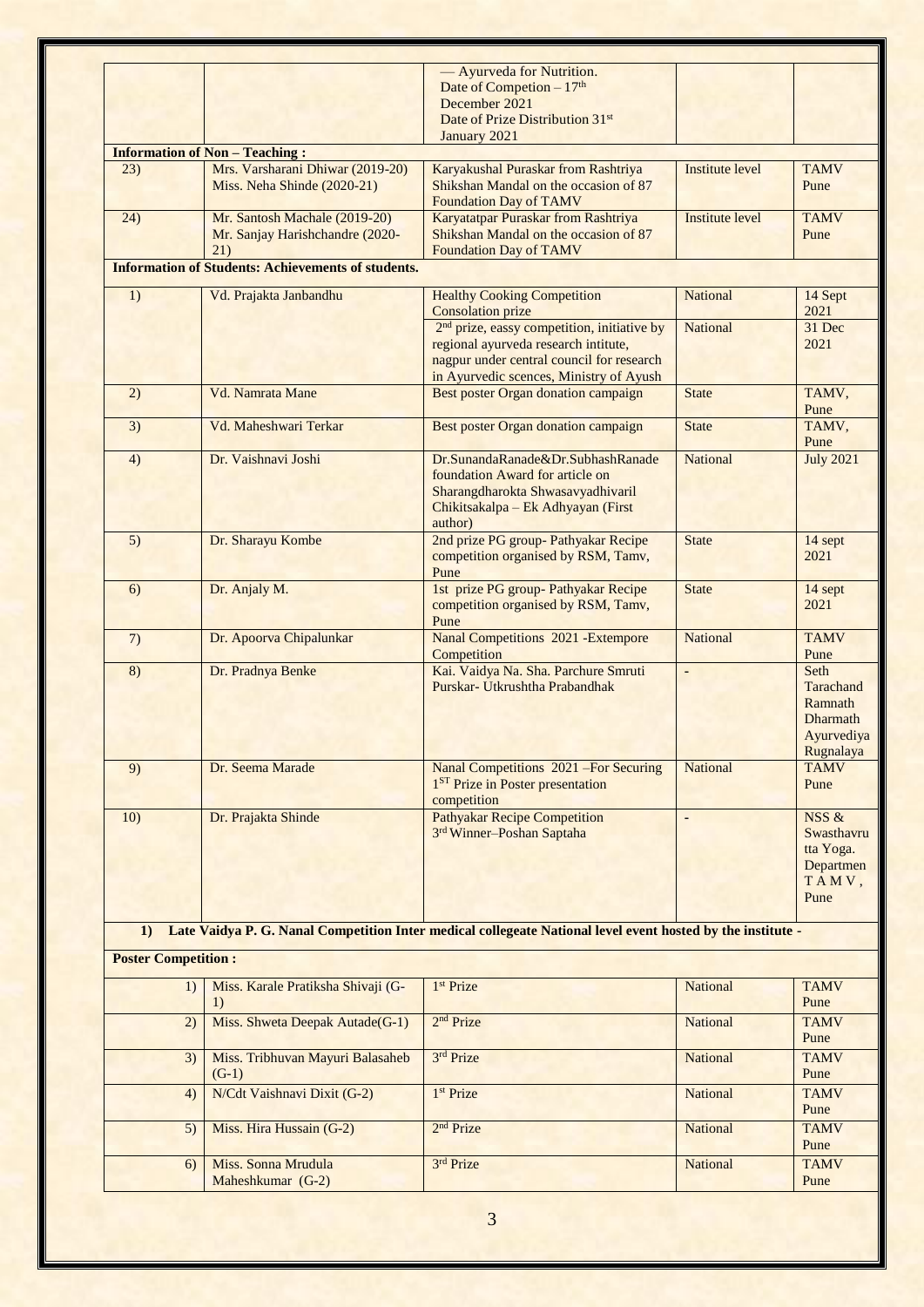|                            |                                                           | - Ayurveda for Nutrition.                                                                                   |                              |                  |
|----------------------------|-----------------------------------------------------------|-------------------------------------------------------------------------------------------------------------|------------------------------|------------------|
|                            |                                                           | Date of Competion $-17th$                                                                                   |                              |                  |
|                            |                                                           | December 2021                                                                                               |                              |                  |
|                            |                                                           | Date of Prize Distribution 31 <sup>st</sup><br>January 2021                                                 |                              |                  |
|                            | <b>Information of Non - Teaching:</b>                     |                                                                                                             |                              |                  |
| 23)                        | Mrs. Varsharani Dhiwar (2019-20)                          | Karyakushal Puraskar from Rashtriya                                                                         | <b>Institute level</b>       | <b>TAMV</b>      |
|                            | Miss. Neha Shinde (2020-21)                               | Shikshan Mandal on the occasion of 87                                                                       |                              | Pune             |
|                            |                                                           | <b>Foundation Day of TAMV</b>                                                                               |                              |                  |
| (24)                       | Mr. Santosh Machale (2019-20)                             | Karyatatpar Puraskar from Rashtriya                                                                         | <b>Institute level</b>       | <b>TAMV</b>      |
|                            | Mr. Sanjay Harishchandre (2020-                           | Shikshan Mandal on the occasion of 87                                                                       |                              | Pune             |
|                            | 21)                                                       | <b>Foundation Day of TAMV</b>                                                                               |                              |                  |
|                            | <b>Information of Students: Achievements of students.</b> |                                                                                                             |                              |                  |
| 1)                         | Vd. Prajakta Janbandhu                                    | <b>Healthy Cooking Competition</b>                                                                          | <b>National</b>              | 14 Sept          |
|                            |                                                           | <b>Consolation prize</b>                                                                                    |                              | 2021             |
|                            |                                                           | 2 <sup>nd</sup> prize, eassy competition, initiative by                                                     | <b>National</b>              | 31 Dec           |
|                            |                                                           | regional ayurveda research intitute,                                                                        |                              | 2021             |
|                            |                                                           | nagpur under central council for research                                                                   |                              |                  |
| 2)                         | Vd. Namrata Mane                                          | in Ayurvedic scences, Ministry of Ayush<br>Best poster Organ donation campaign                              | <b>State</b>                 | TAMV,            |
|                            |                                                           |                                                                                                             |                              | Pune             |
| 3)                         | Vd. Maheshwari Terkar                                     | Best poster Organ donation campaign                                                                         | <b>State</b>                 | TAMV,            |
|                            |                                                           |                                                                                                             |                              | Pune             |
| 4)                         | Dr. Vaishnavi Joshi                                       | Dr.SunandaRanade&Dr.SubhashRanade                                                                           | <b>National</b>              | <b>July 2021</b> |
|                            |                                                           | foundation Award for article on                                                                             |                              |                  |
|                            |                                                           | Sharangdharokta Shwasavyadhivaril                                                                           |                              |                  |
|                            |                                                           | Chikitsakalpa - Ek Adhyayan (First<br>author)                                                               |                              |                  |
| 5)                         | Dr. Sharayu Kombe                                         | 2nd prize PG group- Pathyakar Recipe                                                                        | <b>State</b>                 | 14 sept          |
|                            |                                                           | competition organised by RSM, Tamv,                                                                         |                              | 2021             |
|                            |                                                           | Pune                                                                                                        |                              |                  |
| 6)                         | Dr. Anjaly M.                                             | 1st prize PG group- Pathyakar Recipe                                                                        | <b>State</b>                 | 14 sept          |
|                            |                                                           | competition organised by RSM, Tamv,                                                                         |                              | 2021             |
|                            |                                                           | Pune                                                                                                        |                              |                  |
| 7)                         | Dr. Apoorva Chipalunkar                                   | <b>Nanal Competitions 2021 -Extempore</b>                                                                   | <b>National</b>              | <b>TAMV</b>      |
| 8)                         | Dr. Pradnya Benke                                         | Competition<br>Kai. Vaidya Na. Sha. Parchure Smruti                                                         | $\qquad \qquad \blacksquare$ | Pune<br>Seth     |
|                            |                                                           | Purskar- Utkrushtha Prabandhak                                                                              |                              | Tarachand        |
|                            |                                                           |                                                                                                             |                              | Ramnath          |
|                            |                                                           |                                                                                                             |                              | <b>Dharmath</b>  |
|                            |                                                           |                                                                                                             |                              | Ayurvediya       |
|                            |                                                           |                                                                                                             |                              | <b>Rugnalaya</b> |
| 9)                         | Dr. Seema Marade                                          | Nanal Competitions 2021 - For Securing                                                                      | <b>National</b>              | <b>TAMV</b>      |
|                            |                                                           | 1 <sup>ST</sup> Prize in Poster presentation<br>competition                                                 |                              | Pune             |
| 10)                        | Dr. Prajakta Shinde                                       | <b>Pathyakar Recipe Competition</b>                                                                         | ÷,                           | NSS &            |
|                            |                                                           | 3rd Winner-Poshan Saptaha                                                                                   |                              | Swasthavru       |
|                            |                                                           |                                                                                                             |                              | tta Yoga.        |
|                            |                                                           |                                                                                                             |                              | Departmen        |
|                            |                                                           |                                                                                                             |                              | TAMV,            |
|                            |                                                           |                                                                                                             |                              | Pune             |
|                            |                                                           | Late Vaidya P. G. Nanal Competition Inter medical collegeate National level event hosted by the institute - |                              |                  |
| 1)                         |                                                           |                                                                                                             |                              |                  |
| <b>Poster Competition:</b> |                                                           |                                                                                                             |                              |                  |
| 1)                         | Miss. Karale Pratiksha Shivaji (G-                        | 1 <sup>st</sup> Prize                                                                                       | <b>National</b>              | <b>TAMV</b>      |
|                            | 1)                                                        |                                                                                                             |                              | Pune             |
| 2)                         | Miss. Shweta Deepak Autade(G-1)                           | 2 <sup>nd</sup> Prize                                                                                       | National                     | <b>TAMV</b>      |
|                            |                                                           |                                                                                                             |                              | Pune             |
| 3)                         | Miss. Tribhuvan Mayuri Balasaheb                          | 3rd Prize                                                                                                   | <b>National</b>              | <b>TAMV</b>      |
|                            | $(G-1)$                                                   |                                                                                                             |                              | Pune             |
| 4)                         | N/Cdt Vaishnavi Dixit (G-2)                               | 1 <sup>st</sup> Prize                                                                                       | <b>National</b>              | <b>TAMV</b>      |
|                            |                                                           |                                                                                                             |                              | Pune             |
| 5)                         | Miss. Hira Hussain (G-2)                                  | 2 <sup>nd</sup> Prize                                                                                       | <b>National</b>              | <b>TAMV</b>      |
|                            |                                                           |                                                                                                             |                              | Pune             |
| 6)                         | Miss. Sonna Mrudula                                       | 3rd Prize                                                                                                   | <b>National</b>              | <b>TAMV</b>      |
|                            | Maheshkumar (G-2)                                         |                                                                                                             |                              | Pune             |
|                            |                                                           |                                                                                                             |                              |                  |
|                            |                                                           | 3                                                                                                           |                              |                  |
|                            |                                                           |                                                                                                             |                              |                  |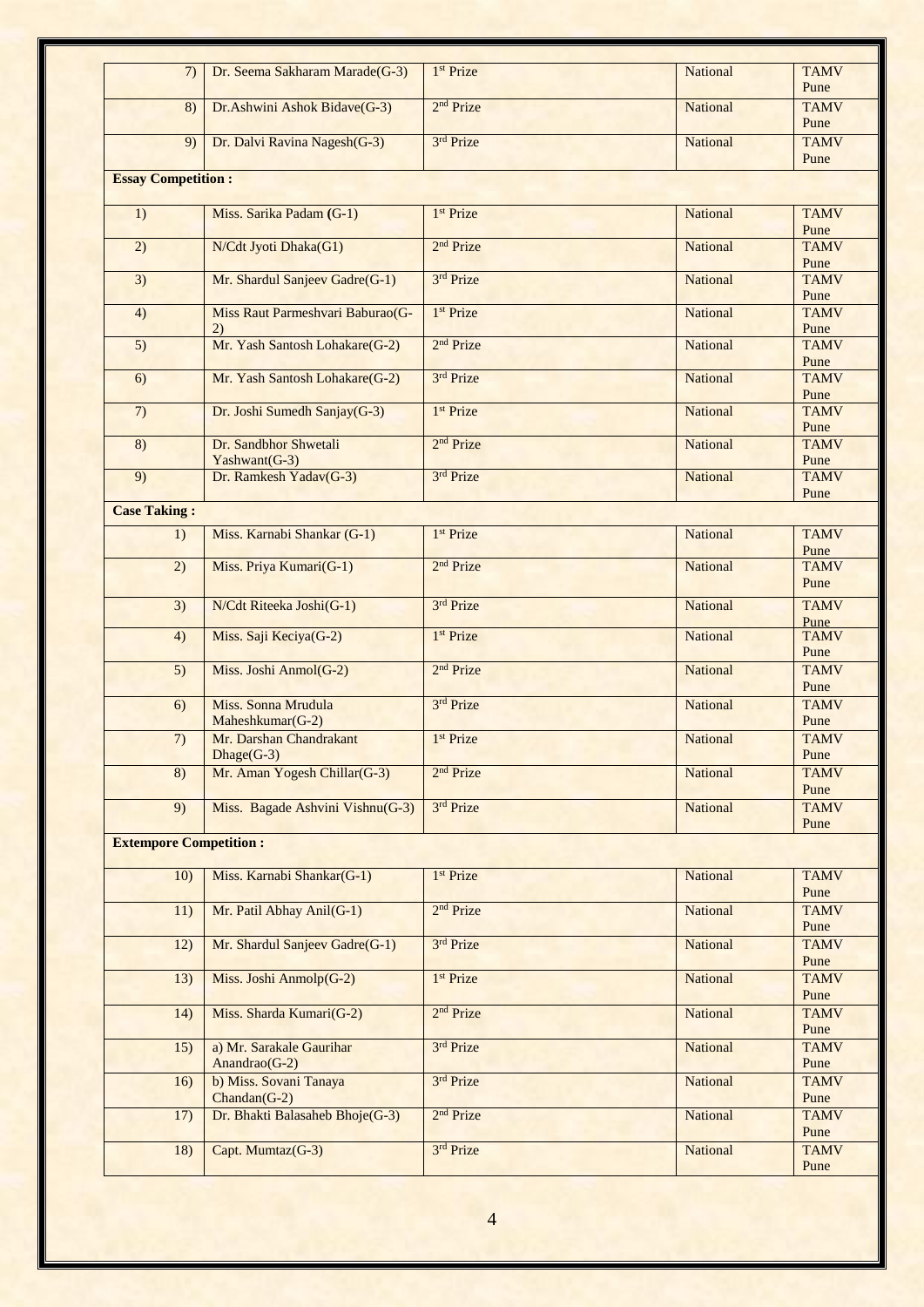| 7)                            | Dr. Seema Sakharam Marade(G-3)            | 1 <sup>st</sup> Prize | <b>National</b> | <b>TAMV</b><br>Pune |
|-------------------------------|-------------------------------------------|-----------------------|-----------------|---------------------|
| 8)                            | Dr. Ashwini Ashok Bidave(G-3)             | 2 <sup>nd</sup> Prize | <b>National</b> | <b>TAMV</b><br>Pune |
| 9)                            | Dr. Dalvi Ravina Nagesh(G-3)              | 3rd Prize             | <b>National</b> | <b>TAMV</b><br>Pune |
| <b>Essay Competition:</b>     |                                           |                       |                 |                     |
|                               |                                           |                       |                 |                     |
| 1)                            | Miss. Sarika Padam (G-1)                  | 1 <sup>st</sup> Prize | <b>National</b> | <b>TAMV</b><br>Pune |
| 2)                            | N/Cdt Jyoti Dhaka(G1)                     | 2 <sup>nd</sup> Prize | <b>National</b> | <b>TAMV</b><br>Pune |
| 3)                            | Mr. Shardul Sanjeev Gadre(G-1)            | 3rd Prize             | <b>National</b> | <b>TAMV</b><br>Pune |
| 4)                            | Miss Raut Parmeshvari Baburao(G-<br>2)    | 1 <sup>st</sup> Prize | <b>National</b> | <b>TAMV</b><br>Pune |
| 5)                            | Mr. Yash Santosh Lohakare(G-2)            | 2 <sup>nd</sup> Prize | National        | <b>TAMV</b><br>Pune |
| 6)                            | Mr. Yash Santosh Lohakare(G-2)            | 3rd Prize             | National        | <b>TAMV</b>         |
|                               |                                           |                       |                 | Pune                |
| 7)                            | Dr. Joshi Sumedh Sanjay(G-3)              | 1 <sup>st</sup> Prize | National        | <b>TAMV</b><br>Pune |
| 8)                            | Dr. Sandbhor Shwetali<br>$Yashwant(G-3)$  | 2 <sup>nd</sup> Prize | National        | <b>TAMV</b><br>Pune |
| $\overline{9)}$               | Dr. Ramkesh Yadav(G-3)                    | 3rd Prize             | <b>National</b> | <b>TAMV</b><br>Pune |
| <b>Case Taking:</b>           |                                           |                       |                 |                     |
| 1)                            | Miss. Karnabi Shankar (G-1)               | 1 <sup>st</sup> Prize | National        | <b>TAMV</b>         |
|                               |                                           |                       |                 | Pune                |
| $\overline{2)}$               | Miss. Priya Kumari(G-1)                   | 2 <sup>nd</sup> Prize | National        | <b>TAMV</b><br>Pune |
| 3)                            | N/Cdt Riteeka Joshi(G-1)                  | 3rd Prize             | National        | <b>TAMV</b>         |
| 4)                            | Miss. Saji Keciya(G-2)                    | 1 <sup>st</sup> Prize | National        | Pune<br><b>TAMV</b> |
|                               |                                           | 2 <sup>nd</sup> Prize |                 | Pune<br><b>TAMV</b> |
| 5)                            | Miss. Joshi Anmol(G-2)                    |                       | <b>National</b> | Pune                |
| 6)                            | Miss. Sonna Mrudula<br>Maheshkumar(G-2)   | 3rd Prize             | National        | <b>TAMV</b><br>Pune |
| 7)                            | Mr. Darshan Chandrakant<br>$Dhage(G-3)$   | 1 <sup>st</sup> Prize | National        | <b>TAMV</b><br>Pune |
| 8)                            | Mr. Aman Yogesh Chillar(G-3)              | 2 <sup>nd</sup> Prize | <b>National</b> | <b>TAMV</b>         |
| 9)                            | Miss. Bagade Ashvini Vishnu(G-3)          | 3rd Prize             | National        | Pune<br><b>TAMV</b> |
| <b>Extempore Competition:</b> |                                           |                       |                 | Pune                |
|                               |                                           |                       |                 |                     |
| 10)                           | Miss. Karnabi Shankar(G-1)                | 1 <sup>st</sup> Prize | National        | <b>TAMV</b><br>Pune |
| 11)                           | Mr. Patil Abhay Anil(G-1)                 | 2 <sup>nd</sup> Prize | <b>National</b> | <b>TAMV</b>         |
| 12)                           | Mr. Shardul Sanjeev Gadre(G-1)            | 3rd Prize             | National        | Pune<br><b>TAMV</b> |
| 13)                           | Miss. Joshi Anmolp(G-2)                   | 1 <sup>st</sup> Prize | National        | Pune<br><b>TAMV</b> |
|                               | Miss. Sharda Kumari(G-2)                  | 2 <sup>nd</sup> Prize | National        | Pune<br><b>TAMV</b> |
| 14)                           |                                           |                       |                 | Pune                |
| 15)                           | a) Mr. Sarakale Gaurihar<br>Anandrao(G-2) | 3rd Prize             | National        | <b>TAMV</b><br>Pune |
| 16)                           | b) Miss. Sovani Tanaya<br>$Chandan(G-2)$  | 3rd Prize             | National        | <b>TAMV</b><br>Pune |
| 17)                           | Dr. Bhakti Balasaheb Bhoje(G-3)           | 2 <sup>nd</sup> Prize | National        | <b>TAMV</b>         |
| 18)                           | Capt. Mumtaz(G-3)                         | 3rd Prize             | <b>National</b> | Pune<br><b>TAMV</b> |
|                               |                                           |                       |                 | Pune                |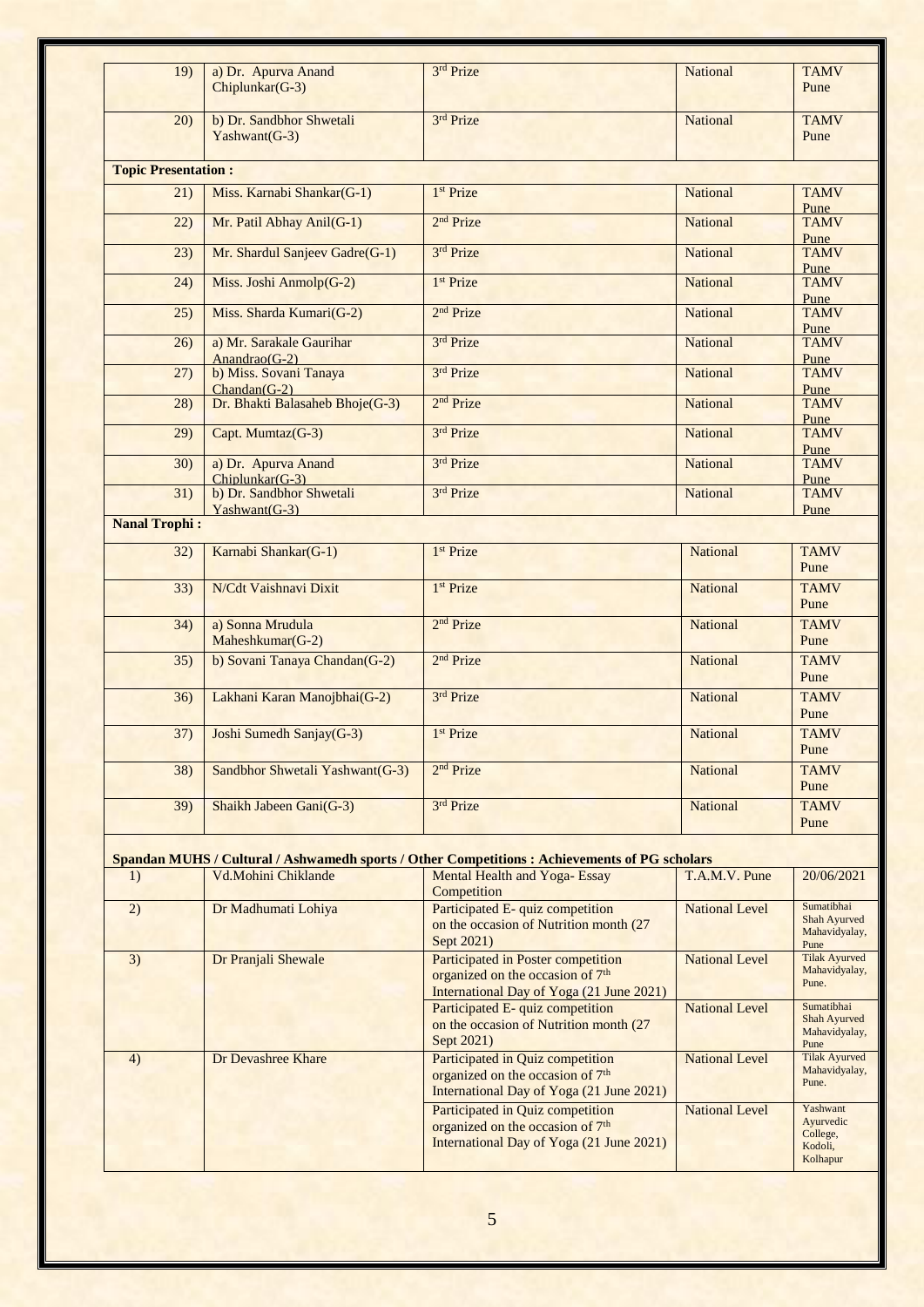| 19)                        | a) Dr. Apurva Anand<br>Chiplunkar(G-3)     | 3rd Prize                                                                                                                      | <b>National</b>       | <b>TAMV</b><br>Pune                                      |
|----------------------------|--------------------------------------------|--------------------------------------------------------------------------------------------------------------------------------|-----------------------|----------------------------------------------------------|
| 20)                        | b) Dr. Sandbhor Shwetali<br>Yashwant(G-3)  | 3rd Prize                                                                                                                      | <b>National</b>       | <b>TAMV</b><br>Pune                                      |
| <b>Topic Presentation:</b> |                                            |                                                                                                                                |                       |                                                          |
| 21)                        | Miss. Karnabi Shankar(G-1)                 | 1 <sup>st</sup> Prize                                                                                                          | <b>National</b>       | <b>TAMV</b>                                              |
| 22)                        | Mr. Patil Abhay Anil(G-1)                  | 2 <sup>nd</sup> Prize                                                                                                          | <b>National</b>       | Pune<br><b>TAMV</b>                                      |
| 23)                        | Mr. Shardul Sanjeev Gadre(G-1)             | 3rd Prize                                                                                                                      | <b>National</b>       | Pune<br><b>TAMV</b>                                      |
| (24)                       | Miss. Joshi Anmolp(G-2)                    | 1 <sup>st</sup> Prize                                                                                                          | <b>National</b>       | Pune<br><b>TAMV</b>                                      |
| 25)                        | Miss. Sharda Kumari(G-2)                   | 2 <sup>nd</sup> Prize                                                                                                          | <b>National</b>       | Pune<br><b>TAMV</b>                                      |
| 26)                        | a) Mr. Sarakale Gaurihar                   | 3rd Prize                                                                                                                      | <b>National</b>       | Pune<br><b>TAMV</b>                                      |
| (27)                       | Anandrao $(G-2)$<br>b) Miss. Sovani Tanaya | 3rd Prize                                                                                                                      | <b>National</b>       | Pune<br><b>TAMV</b>                                      |
|                            | $Chandan(G-2)$                             |                                                                                                                                |                       | Pune                                                     |
| 28)                        | Dr. Bhakti Balasaheb Bhoje(G-3)            | 2 <sup>nd</sup> Prize                                                                                                          | <b>National</b>       | <b>TAMV</b><br>Pune                                      |
| 29)                        | Capt. Mumtaz(G-3)                          | 3rd Prize                                                                                                                      | <b>National</b>       | <b>TAMV</b><br>Pune                                      |
| 30)                        | a) Dr. Apurva Anand<br>$Chiplunkar(G-3)$   | 3rd Prize                                                                                                                      | <b>National</b>       | <b>TAMV</b><br>Pune                                      |
| 31)                        | b) Dr. Sandbhor Shwetali<br>Yashwant(G-3)  | 3rd Prize                                                                                                                      | <b>National</b>       | <b>TAMV</b><br>Pune                                      |
| <b>Nanal Trophi:</b>       |                                            |                                                                                                                                |                       |                                                          |
| 32)                        | Karnabi Shankar(G-1)                       | 1 <sup>st</sup> Prize                                                                                                          | <b>National</b>       | <b>TAMV</b><br>Pune                                      |
| 33)                        | N/Cdt Vaishnavi Dixit                      | 1 <sup>st</sup> Prize                                                                                                          | <b>National</b>       | <b>TAMV</b><br>Pune                                      |
| 34)                        | a) Sonna Mrudula<br>Maheshkumar(G-2)       | 2 <sup>nd</sup> Prize                                                                                                          | National              | <b>TAMV</b><br>Pune                                      |
| 35)                        | b) Sovani Tanaya Chandan(G-2)              | 2 <sup>nd</sup> Prize                                                                                                          | <b>National</b>       | <b>TAMV</b><br>Pune                                      |
| 36)                        | Lakhani Karan Manojbhai(G-2)               | 3rd Prize                                                                                                                      | National              | <b>TAMV</b><br>Pune                                      |
| 37)                        | Joshi Sumedh Sanjay(G-3)                   | 1 <sup>st</sup> Prize                                                                                                          | <b>National</b>       | <b>TAMV</b><br>Pune                                      |
| 38)                        | Sandbhor Shwetali Yashwant(G-3)            | 2 <sup>nd</sup> Prize                                                                                                          | <b>National</b>       | <b>TAMV</b><br>Pune                                      |
| 39)                        | Shaikh Jabeen Gani(G-3)                    | 3rd Prize                                                                                                                      | <b>National</b>       | <b>TAMV</b><br>Pune                                      |
|                            |                                            | Spandan MUHS / Cultural / Ashwamedh sports / Other Competitions : Achievements of PG scholars                                  |                       |                                                          |
| 1)                         | Vd.Mohini Chiklande                        | Mental Health and Yoga-Essay                                                                                                   | T.A.M.V. Pune         | 20/06/2021                                               |
| 2)                         | Dr Madhumati Lohiya                        | Competition<br>Participated E-quiz competition                                                                                 | <b>National Level</b> | Sumatibhai                                               |
|                            |                                            | on the occasion of Nutrition month (27)<br>Sept 2021)                                                                          |                       | Shah Ayurved<br>Mahavidyalay,<br>Pune                    |
| 3)                         | Dr Pranjali Shewale                        | Participated in Poster competition<br>organized on the occasion of 7 <sup>th</sup><br>International Day of Yoga (21 June 2021) | <b>National Level</b> | <b>Tilak Ayurved</b><br>Mahavidyalay,<br>Pune.           |
|                            |                                            | Participated E- quiz competition<br>on the occasion of Nutrition month (27)<br>Sept 2021)                                      | <b>National Level</b> | Sumatibhai<br>Shah Ayurved<br>Mahavidyalay,<br>Pune      |
| 4)                         | Dr Devashree Khare                         | Participated in Quiz competition<br>organized on the occasion of 7 <sup>th</sup><br>International Day of Yoga (21 June 2021)   | <b>National Level</b> | <b>Tilak Ayurved</b><br>Mahavidyalay,<br>Pune.           |
|                            |                                            | Participated in Quiz competition<br>organized on the occasion of 7 <sup>th</sup><br>International Day of Yoga (21 June 2021)   | <b>National Level</b> | Yashwant<br>Ayurvedic<br>College,<br>Kodoli,<br>Kolhapur |